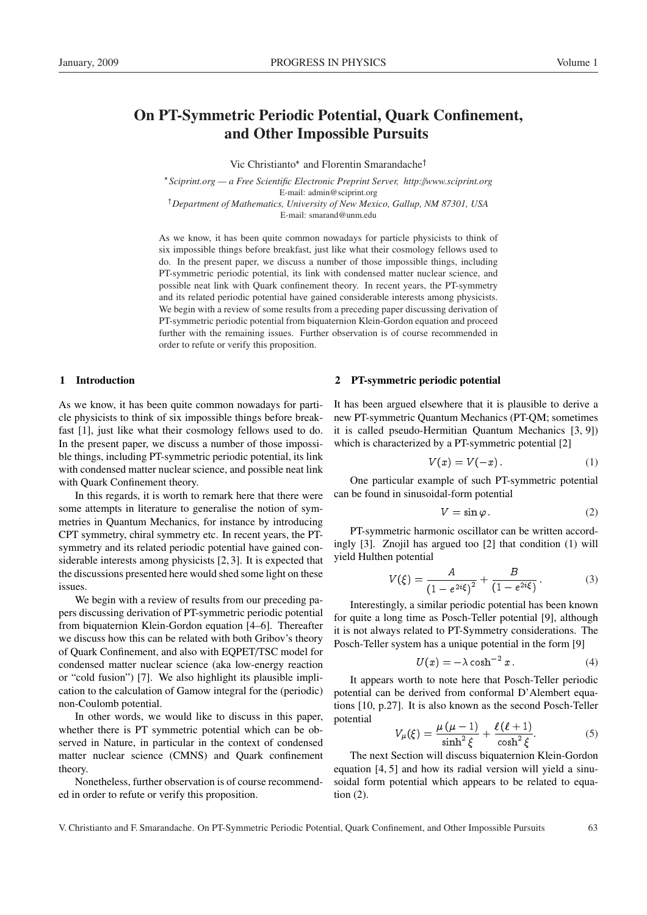# On PT-Symmetric Periodic Potential, Quark Confinement, and Other Impossible Pursuits

Vic Christianto<sup>\*</sup> and Florentin Smarandache<sup>†</sup>

 *Sciprint.org — a Free Scientific Electronic Preprint Server, http:*//*www.sciprint.org* E-mail: admin@sciprint.org <sup>†</sup>Department of Mathematics, University of New Mexico, Gallup, NM 87301, USA

E-mail: smarand@unm.edu

As we know, it has been quite common nowadays for particle physicists to think of six impossible things before breakfast, just like what their cosmology fellows used to do. In the present paper, we discuss a number of those impossible things, including PT-symmetric periodic potential, its link with condensed matter nuclear science, and possible neat link with Quark confinement theory. In recent years, the PT-symmetry and its related periodic potential have gained considerable interests among physicists. We begin with a review of some results from a preceding paper discussing derivation of PT-symmetric periodic potential from biquaternion Klein-Gordon equation and proceed further with the remaining issues. Further observation is of course recommended in order to refute or verify this proposition.

#### 1 Introduction

As we know, it has been quite common nowadays for particle physicists to think of six impossible things before breakfast [1], just like what their cosmology fellows used to do. In the present paper, we discuss a number of those impossible things, including PT-symmetric periodic potential, its link with condensed matter nuclear science, and possible neat link with Quark Confinement theory.

In this regards, it is worth to remark here that there were some attempts in literature to generalise the notion of symmetries in Quantum Mechanics, for instance by introducing CPT symmetry, chiral symmetry etc. In recent years, the PTsymmetry and its related periodic potential have gained considerable interests among physicists [2, 3]. It is expected that the discussions presented here would shed some light on these issues.

We begin with a review of results from our preceding papers discussing derivation of PT-symmetric periodic potential from biquaternion Klein-Gordon equation [4–6]. Thereafter we discuss how this can be related with both Gribov's theory of Quark Confinement, and also with EQPET/TSC model for condensed matter nuclear science (aka low-energy reaction or "cold fusion") [7]. We also highlight its plausible implication to the calculation of Gamow integral for the (periodic) non-Coulomb potential.

In other words, we would like to discuss in this paper, whether there is PT symmetric potential which can be observed in Nature, in particular in the context of condensed matter nuclear science (CMNS) and Quark confinement theory.

Nonetheless, further observation is of course recommended in order to refute or verify this proposition.

#### 2 PT-symmetric periodic potential

It has been argued elsewhere that it is plausible to derive a new PT-symmetric Quantum Mechanics (PT-QM; sometimes it is called pseudo-Hermitian Quantum Mechanics [3, 9]) which is characterized by a PT-symmetric potential [2]

$$
V(x) = V(-x). \tag{1}
$$

One particular example of such PT-symmetric potential can be found in sinusoidal-form potential

$$
V = \sin \varphi \,. \tag{2}
$$

PT-symmetric harmonic oscillator can be written accordingly [3]. Znojil has argued too [2] that condition (1) will yield Hulthen potential

$$
V(\xi) = \frac{A}{(1 - e^{2i\xi})^2} + \frac{B}{(1 - e^{2i\xi})}.
$$
 (3)

Interestingly, a similar periodic potential has been known for quite a long time as Posch-Teller potential [9], although it is not always related to PT-Symmetry considerations. The Posch-Teller system has a unique potential in the form [9]

$$
U(x) = -\lambda \cosh^{-2} x \,. \tag{4}
$$

It appears worth to note here that Posch-Teller periodic potential can be derived from conformal D'Alembert equations [10, p.27]. It is also known as the second Posch-Teller potential

$$
V_{\mu}(\xi) = \frac{\mu(\mu - 1)}{\sinh^2 \xi} + \frac{\ell(\ell + 1)}{\cosh^2 \xi}.
$$
 (5)

The next Section will discuss biquaternion Klein-Gordon equation [4, 5] and how its radial version will yield a sinusoidal form potential which appears to be related to equation (2).

V. Christianto and F. Smarandache. On PT-Symmetric Periodic Potential, Quark Confinement, and Other Impossible Pursuits 63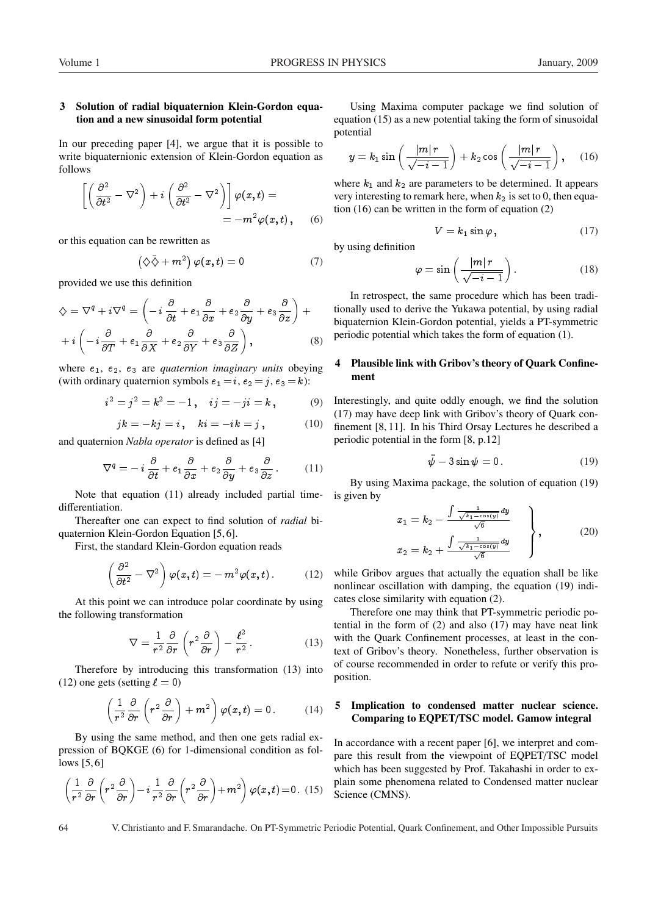## 3 Solution of radial biquaternion Klein-Gordon equation and a new sinusoidal form potential

In our preceding paper [4], we argue that it is possible to write biquaternionic extension of Klein-Gordon equation as follows

$$
\left[ \left( \frac{\partial^2}{\partial t^2} - \nabla^2 \right) + i \left( \frac{\partial^2}{\partial t^2} - \nabla^2 \right) \right] \varphi(x, t) =
$$
  
= 
$$
-m^2 \varphi(x, t), \qquad (6)
$$

or this equation can be rewritten as

$$
\left(\diamondsuit\bar{\diamondsuit} + m^2\right)\varphi(x,t) = 0\tag{7}
$$

provided we use this definition

$$
\diamondsuit = \nabla^q + i \nabla^q = \left( -i \frac{\partial}{\partial t} + e_1 \frac{\partial}{\partial x} + e_2 \frac{\partial}{\partial y} + e_3 \frac{\partial}{\partial z} \right) +
$$

$$
+ i \left( -i \frac{\partial}{\partial T} + e_1 \frac{\partial}{\partial X} + e_2 \frac{\partial}{\partial Y} + e_3 \frac{\partial}{\partial Z} \right),
$$
(8)

where  $e_1$ ,  $e_2$ ,  $e_3$  are *quaternion imaginary units* obeying (with ordinary quaternion symbols  $e_1 = i$ ,  $e_2 = j$ ,  $e_3 = k$ ):

$$
i^2 = j^2 = k^2 = -1
$$
,  $ij = -ji = k$ , (9)

$$
jk = -kj = i, \quad ki = -ik = j, \tag{10}
$$

and quaternion *Nabla operator* is defined as [4]

$$
\nabla^q = -i \frac{\partial}{\partial t} + e_1 \frac{\partial}{\partial x} + e_2 \frac{\partial}{\partial y} + e_3 \frac{\partial}{\partial z}.
$$
 (11)

Note that equation (11) already included partial timedifferentiation.

Thereafter one can expect to find solution of *radial* biquaternion Klein-Gordon Equation [5, 6].

First, the standard Klein-Gordon equation reads

$$
\left(\frac{\partial^2}{\partial t^2} - \nabla^2\right)\varphi(x,t) = -m^2\varphi(x,t). \qquad (12)
$$

At this point we can introduce polar coordinate by using the following transformation

$$
\nabla = \frac{1}{r^2} \frac{\partial}{\partial r} \left( r^2 \frac{\partial}{\partial r} \right) - \frac{\ell^2}{r^2} . \tag{13}
$$

Therefore by introducing this transformation (13) into (12) one gets (setting  $\ell = 0$ )

$$
\left(\frac{1}{r^2}\frac{\partial}{\partial r}\left(r^2\frac{\partial}{\partial r}\right)+m^2\right)\varphi(x,t)=0.
$$
 (14)

By using the same method, and then one gets radial expression of BQKGE (6) for 1-dimensional condition as follows [5, 6]

$$
\left(\frac{1}{r^2}\frac{\partial}{\partial r}\left(r^2\frac{\partial}{\partial r}\right) - i\frac{1}{r^2}\frac{\partial}{\partial r}\left(r^2\frac{\partial}{\partial r}\right) + m^2\right)\varphi(x,t) = 0.
$$
 (15)

Using Maxima computer package we find solution of equation (15) as a new potential taking the form of sinusoidal potential

$$
y = k_1 \sin\left(\frac{|m|r}{\sqrt{-i-1}}\right) + k_2 \cos\left(\frac{|m|r}{\sqrt{-i-1}}\right), \quad (16)
$$

where  $k_1$  and  $k_2$  are parameters to be determined. It appears very interesting to remark here, when  $k_2$  is set to 0, then equation (16) can be written in the form of equation (2)

$$
V = k_1 \sin \varphi , \qquad (17)
$$

by using definition

$$
\varphi = \sin\left(\frac{|m|r}{\sqrt{-i-1}}\right). \tag{18}
$$

In retrospect, the same procedure which has been traditionally used to derive the Yukawa potential, by using radial biquaternion Klein-Gordon potential, yields a PT-symmetric periodic potential which takes the form of equation (1).

## 4 Plausible link with Gribov's theory of Quark Confinement

Interestingly, and quite oddly enough, we find the solution (17) may have deep link with Gribov's theory of Quark confinement [8, 11]. In his Third Orsay Lectures he described a periodic potential in the form [8, p.12]

$$
\ddot{\psi} - 3\sin\psi = 0. \tag{19}
$$

By using Maxima package, the solution of equation (19) is given by

$$
x_1 = k_2 - \frac{\int \frac{1}{\sqrt{k_1 - \cos(y)}} dy}{\sqrt{6}}
$$
  

$$
x_2 = k_2 + \frac{\int \frac{1}{\sqrt{k_1 - \cos(y)}} dy}{\sqrt{6}}
$$
 (20)

while Gribov argues that actually the equation shall be like nonlinear oscillation with damping, the equation (19) indicates close similarity with equation (2).

Therefore one may think that PT-symmetric periodic potential in the form of (2) and also (17) may have neat link with the Quark Confinement processes, at least in the context of Gribov's theory. Nonetheless, further observation is of course recommended in order to refute or verify this proposition.

## 5 Implication to condensed matter nuclear science. Comparing to EQPET/TSC model. Gamow integral

In accordance with a recent paper [6], we interpret and compare this result from the viewpoint of EQPET/TSC model which has been suggested by Prof. Takahashi in order to explain some phenomena related to Condensed matter nuclear Science (CMNS).